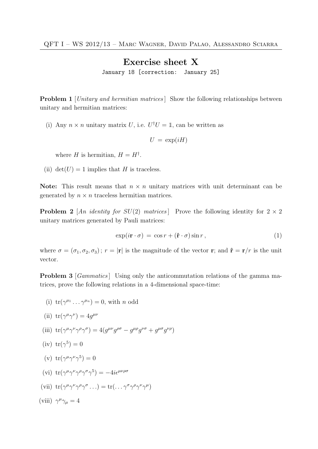## Exercise sheet X

January 18 [correction: January 25]

**Problem 1** [Unitary and hermitian matrices] Show the following relationships between unitary and hermitian matrices:

(i) Any  $n \times n$  unitary matrix U, i.e.  $U^{\dagger}U = \mathbb{1}$ , can be written as

$$
U = \exp(iH)
$$

where H is hermitian,  $H = H^{\dagger}$ .

(ii)  $det(U) = 1$  implies that H is traceless.

Note: This result means that  $n \times n$  unitary matrices with unit determinant can be generated by  $n \times n$  traceless hermitian matrices.

**Problem 2** [An identity for  $SU(2)$  matrices] Prove the following identity for  $2 \times 2$ unitary matrices generated by Pauli matrices:

$$
\exp(i\mathbf{r} \cdot \sigma) = \cos r + (\hat{\mathbf{r}} \cdot \sigma)\sin r \,,\tag{1}
$$

where  $\sigma = (\sigma_1, \sigma_2, \sigma_3)$ ;  $r = |\mathbf{r}|$  is the magnitude of the vector **r**; and  $\hat{\mathbf{r}} = \mathbf{r}/r$  is the unit vector.

Problem 3 [*Gammatics*] Using only the anticommutation relations of the gamma matrices, prove the following relations in a 4-dimensional space-time:

(i)  $\text{tr}(\gamma^{\mu_1} \dots \gamma^{\mu_n}) = 0$ , with *n* odd

(ii) 
$$
tr(\gamma^{\mu}\gamma^{\nu}) = 4g^{\mu\nu}
$$

(iii) 
$$
\text{tr}(\gamma^{\mu}\gamma^{\nu}\gamma^{\rho}\gamma^{\sigma}) = 4(g^{\mu\nu}g^{\rho\sigma} - g^{\mu\rho}g^{\nu\sigma} + g^{\mu\sigma}g^{\nu\rho})
$$

(iv) 
$$
tr(\gamma^5) = 0
$$

(v)  $tr(\gamma^{\mu}\gamma^{\nu}\gamma^5)=0$ 

$$
(vi) tr(\gamma^{\mu}\gamma^{\nu}\gamma^{\rho}\gamma^{\sigma}\gamma^5) = -4i\epsilon^{\mu\nu\rho\sigma}
$$

(vii)  $\operatorname{tr}(\gamma^{\mu}\gamma^{\nu}\gamma^{\rho}\gamma^{\sigma} \dots) = \operatorname{tr}(\dots \gamma^{\sigma}\gamma^{\rho}\gamma^{\nu}\gamma^{\mu})$ 

(viii) 
$$
\gamma^{\mu}\gamma_{\mu} = 4
$$